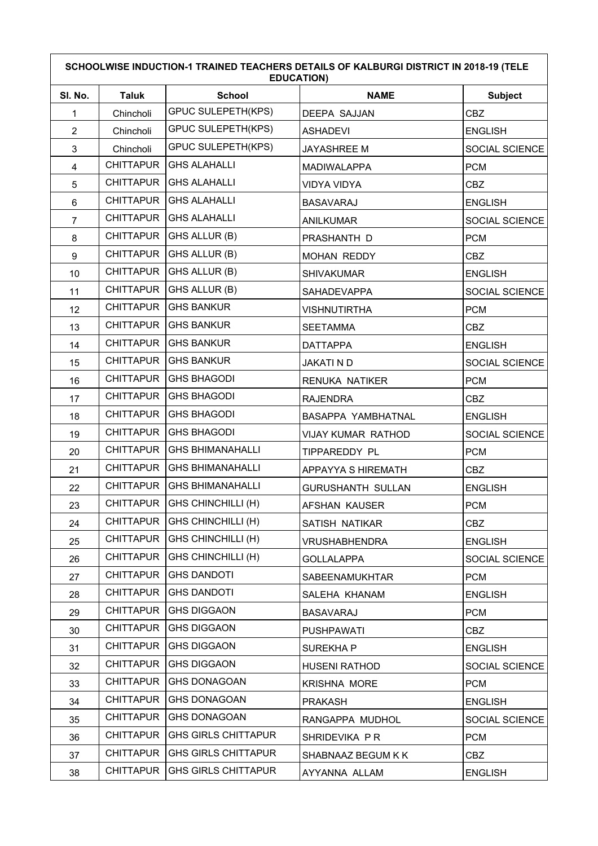| SCHOOLWISE INDUCTION-1 TRAINED TEACHERS DETAILS OF KALBURGI DISTRICT IN 2018-19 (TELE<br><b>EDUCATION)</b> |                  |                                |                           |                |
|------------------------------------------------------------------------------------------------------------|------------------|--------------------------------|---------------------------|----------------|
| SI. No.                                                                                                    | <b>Taluk</b>     | <b>School</b>                  | <b>NAME</b>               | <b>Subject</b> |
| 1                                                                                                          | Chincholi        | <b>GPUC SULEPETH(KPS)</b>      | <b>DEEPA SAJJAN</b>       | <b>CBZ</b>     |
| $\overline{2}$                                                                                             | Chincholi        | <b>GPUC SULEPETH(KPS)</b>      | <b>ASHADEVI</b>           | <b>ENGLISH</b> |
| 3                                                                                                          | Chincholi        | <b>GPUC SULEPETH(KPS)</b>      | <b>JAYASHREE M</b>        | SOCIAL SCIENCE |
| $\overline{\mathbf{4}}$                                                                                    | <b>CHITTAPUR</b> | <b>GHS ALAHALLI</b>            | <b>MADIWALAPPA</b>        | <b>PCM</b>     |
| 5                                                                                                          | <b>CHITTAPUR</b> | <b>GHS ALAHALLI</b>            | <b>VIDYA VIDYA</b>        | CBZ            |
| 6                                                                                                          | <b>CHITTAPUR</b> | <b>GHS ALAHALLI</b>            | <b>BASAVARAJ</b>          | <b>ENGLISH</b> |
| $\overline{7}$                                                                                             | <b>CHITTAPUR</b> | <b>GHS ALAHALLI</b>            | <b>ANILKUMAR</b>          | SOCIAL SCIENCE |
| 8                                                                                                          | <b>CHITTAPUR</b> | GHS ALLUR (B)                  | PRASHANTH D               | <b>PCM</b>     |
| 9                                                                                                          | <b>CHITTAPUR</b> | GHS ALLUR (B)                  | <b>MOHAN REDDY</b>        | <b>CBZ</b>     |
| 10                                                                                                         | <b>CHITTAPUR</b> | GHS ALLUR (B)                  | <b>SHIVAKUMAR</b>         | <b>ENGLISH</b> |
| 11                                                                                                         | <b>CHITTAPUR</b> | GHS ALLUR (B)                  | <b>SAHADEVAPPA</b>        | SOCIAL SCIENCE |
| 12                                                                                                         | <b>CHITTAPUR</b> | <b>GHS BANKUR</b>              | <b>VISHNUTIRTHA</b>       | <b>PCM</b>     |
| 13                                                                                                         | <b>CHITTAPUR</b> | <b>GHS BANKUR</b>              | <b>SEETAMMA</b>           | <b>CBZ</b>     |
| 14                                                                                                         | <b>CHITTAPUR</b> | <b>GHS BANKUR</b>              | <b>DATTAPPA</b>           | <b>ENGLISH</b> |
| 15                                                                                                         | <b>CHITTAPUR</b> | <b>GHS BANKUR</b>              | <b>JAKATI N D</b>         | SOCIAL SCIENCE |
| 16                                                                                                         | <b>CHITTAPUR</b> | <b>GHS BHAGODI</b>             | <b>RENUKA NATIKER</b>     | <b>PCM</b>     |
| 17                                                                                                         | <b>CHITTAPUR</b> | <b>GHS BHAGODI</b>             | <b>RAJENDRA</b>           | <b>CBZ</b>     |
| 18                                                                                                         | <b>CHITTAPUR</b> | <b>GHS BHAGODI</b>             | BASAPPA YAMBHATNAL        | <b>ENGLISH</b> |
| 19                                                                                                         | <b>CHITTAPUR</b> | <b>GHS BHAGODI</b>             | <b>VIJAY KUMAR RATHOD</b> | SOCIAL SCIENCE |
| 20                                                                                                         | <b>CHITTAPUR</b> | <b>GHS BHIMANAHALLI</b>        | TIPPAREDDY PL             | <b>PCM</b>     |
| 21                                                                                                         | <b>CHITTAPUR</b> | <b>GHS BHIMANAHALLI</b>        | APPAYYA S HIREMATH        | <b>CBZ</b>     |
| 22                                                                                                         | <b>CHITTAPUR</b> | <b>GHS BHIMANAHALLI</b>        | <b>GURUSHANTH SULLAN</b>  | <b>ENGLISH</b> |
| 23                                                                                                         |                  | CHITTAPUR   GHS CHINCHILLI (H) | AFSHAN KAUSER             | <b>PCM</b>     |
| 24                                                                                                         |                  | CHITTAPUR   GHS CHINCHILLI (H) | SATISH NATIKAR            | <b>CBZ</b>     |
| 25                                                                                                         |                  | CHITTAPUR   GHS CHINCHILLI (H) | <b>VRUSHABHENDRA</b>      | <b>ENGLISH</b> |
| 26                                                                                                         | <b>CHITTAPUR</b> | <b>GHS CHINCHILLI (H)</b>      | <b>GOLLALAPPA</b>         | SOCIAL SCIENCE |
| 27                                                                                                         | <b>CHITTAPUR</b> | <b>GHS DANDOTI</b>             | SABEENAMUKHTAR            | <b>PCM</b>     |
| 28                                                                                                         | <b>CHITTAPUR</b> | <b>GHS DANDOTI</b>             | SALEHA KHANAM             | <b>ENGLISH</b> |
| 29                                                                                                         | <b>CHITTAPUR</b> | <b>GHS DIGGAON</b>             | <b>BASAVARAJ</b>          | <b>PCM</b>     |
| 30                                                                                                         | <b>CHITTAPUR</b> | <b>GHS DIGGAON</b>             | <b>PUSHPAWATI</b>         | <b>CBZ</b>     |
| 31                                                                                                         | <b>CHITTAPUR</b> | <b>GHS DIGGAON</b>             | SUREKHA P                 | <b>ENGLISH</b> |
| 32                                                                                                         | <b>CHITTAPUR</b> | <b>GHS DIGGAON</b>             | <b>HUSENI RATHOD</b>      | SOCIAL SCIENCE |
| 33                                                                                                         | <b>CHITTAPUR</b> | <b>GHS DONAGOAN</b>            | <b>KRISHNA MORE</b>       | <b>PCM</b>     |
| 34                                                                                                         | <b>CHITTAPUR</b> | <b>GHS DONAGOAN</b>            | <b>PRAKASH</b>            | <b>ENGLISH</b> |
| 35                                                                                                         | <b>CHITTAPUR</b> | <b>GHS DONAGOAN</b>            | RANGAPPA MUDHOL           | SOCIAL SCIENCE |
| 36                                                                                                         | <b>CHITTAPUR</b> | <b>GHS GIRLS CHITTAPUR</b>     | SHRIDEVIKA PR             | <b>PCM</b>     |
| 37                                                                                                         | <b>CHITTAPUR</b> | <b>GHS GIRLS CHITTAPUR</b>     | SHABNAAZ BEGUM K K        | CBZ            |
| 38                                                                                                         | <b>CHITTAPUR</b> | <b>GHS GIRLS CHITTAPUR</b>     | AYYANNA ALLAM             | <b>ENGLISH</b> |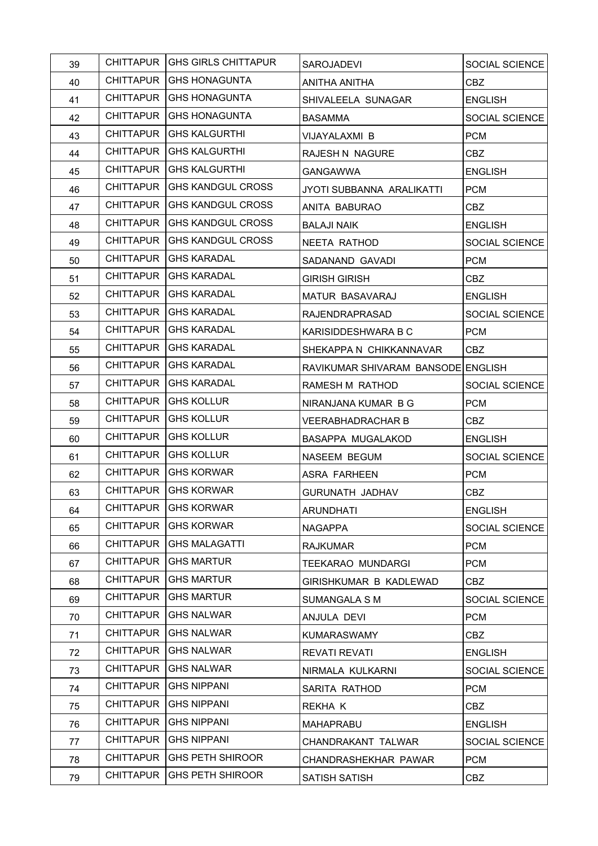| 39 |                  | CHITTAPUR GHS GIRLS CHITTAPUR | <b>SAROJADEVI</b>                  | SOCIAL SCIENCE |
|----|------------------|-------------------------------|------------------------------------|----------------|
| 40 |                  | CHITTAPUR   GHS HONAGUNTA     | ANITHA ANITHA                      | <b>CBZ</b>     |
| 41 |                  | CHITTAPUR   GHS HONAGUNTA     | SHIVALEELA SUNAGAR                 | <b>ENGLISH</b> |
| 42 | <b>CHITTAPUR</b> | IGHS HONAGUNTA                | <b>BASAMMA</b>                     | SOCIAL SCIENCE |
| 43 |                  | CHITTAPUR   GHS KALGURTHI     | VIJAYALAXMI B                      | <b>PCM</b>     |
| 44 |                  | CHITTAPUR   GHS KALGURTHI     | RAJESH N NAGURE                    | CBZ            |
| 45 |                  | CHITTAPUR   GHS KALGURTHI     | GANGAWWA                           | <b>ENGLISH</b> |
| 46 | <b>CHITTAPUR</b> | <b>GHS KANDGUL CROSS</b>      | JYOTI SUBBANNA ARALIKATTI          | <b>PCM</b>     |
| 47 |                  | CHITTAPUR   GHS KANDGUL CROSS | ANITA BABURAO                      | CBZ            |
| 48 | CHITTAPUR        | IGHS KANDGUL CROSS            | <b>BALAJI NAIK</b>                 | <b>ENGLISH</b> |
| 49 |                  | CHITTAPUR   GHS KANDGUL CROSS | NEETA RATHOD                       | SOCIAL SCIENCE |
| 50 |                  | CHITTAPUR   GHS KARADAL       | SADANAND GAVADI                    | <b>PCM</b>     |
| 51 |                  | CHITTAPUR   GHS KARADAL       | <b>GIRISH GIRISH</b>               | <b>CBZ</b>     |
| 52 | CHITTAPUR        | GHS KARADAL                   | <b>MATUR BASAVARAJ</b>             | <b>ENGLISH</b> |
| 53 |                  | CHITTAPUR GHS KARADAL         | <b>RAJENDRAPRASAD</b>              | SOCIAL SCIENCE |
| 54 |                  | CHITTAPUR GHS KARADAL         | KARISIDDESHWARA B C                | <b>PCM</b>     |
| 55 |                  | CHITTAPUR   GHS KARADAL       | SHEKAPPA N CHIKKANNAVAR            | CBZ            |
| 56 | <b>CHITTAPUR</b> | GHS KARADAL                   | RAVIKUMAR SHIVARAM BANSODE ENGLISH |                |
| 57 |                  | CHITTAPUR GHS KARADAL         | RAMESH M RATHOD                    | SOCIAL SCIENCE |
| 58 | <b>CHITTAPUR</b> | GHS KOLLUR                    | NIRANJANA KUMAR B G                | <b>PCM</b>     |
| 59 | <b>CHITTAPUR</b> | GHS KOLLUR                    | <b>VEERABHADRACHAR B</b>           | CBZ            |
| 60 | CHITTAPUR        | GHS KOLLUR                    | BASAPPA MUGALAKOD                  | <b>ENGLISH</b> |
| 61 | CHITTAPUR        | GHS KOLLUR                    | NASEEM BEGUM                       | SOCIAL SCIENCE |
| 62 | CHITTAPUR        | GHS KORWAR                    | ASRA FARHEEN                       | <b>PCM</b>     |
| 63 |                  | CHITTAPUR GHS KORWAR          | <b>GURUNATH JADHAV</b>             | <b>CBZ</b>     |
| 64 |                  | CHITTAPUR GHS KORWAR          | <b>ARUNDHATI</b>                   | <b>ENGLISH</b> |
| 65 | CHITTAPUR        | <b>GHS KORWAR</b>             | <b>NAGAPPA</b>                     | SOCIAL SCIENCE |
| 66 | <b>CHITTAPUR</b> | <b>GHS MALAGATTI</b>          | <b>RAJKUMAR</b>                    | <b>PCM</b>     |
| 67 | CHITTAPUR        | <b>GHS MARTUR</b>             | TEEKARAO MUNDARGI                  | <b>PCM</b>     |
| 68 | <b>CHITTAPUR</b> | <b>GHS MARTUR</b>             | GIRISHKUMAR B KADLEWAD             | CBZ            |
| 69 | <b>CHITTAPUR</b> | <b>GHS MARTUR</b>             | SUMANGALA S M                      | SOCIAL SCIENCE |
| 70 | <b>CHITTAPUR</b> | <b>GHS NALWAR</b>             | ANJULA DEVI                        | <b>PCM</b>     |
| 71 | <b>CHITTAPUR</b> | <b>GHS NALWAR</b>             | <b>KUMARASWAMY</b>                 | CBZ            |
| 72 | <b>CHITTAPUR</b> | <b>GHS NALWAR</b>             | <b>REVATI REVATI</b>               | <b>ENGLISH</b> |
| 73 | <b>CHITTAPUR</b> | <b>GHS NALWAR</b>             | NIRMALA KULKARNI                   | SOCIAL SCIENCE |
| 74 | <b>CHITTAPUR</b> | <b>GHS NIPPANI</b>            | SARITA RATHOD                      | <b>PCM</b>     |
| 75 | <b>CHITTAPUR</b> | <b>GHS NIPPANI</b>            | REKHA K                            | CBZ            |
| 76 | <b>CHITTAPUR</b> | <b>GHS NIPPANI</b>            | <b>MAHAPRABU</b>                   | <b>ENGLISH</b> |
| 77 | <b>CHITTAPUR</b> | <b>GHS NIPPANI</b>            | CHANDRAKANT TALWAR                 | SOCIAL SCIENCE |
| 78 | <b>CHITTAPUR</b> | <b>GHS PETH SHIROOR</b>       | CHANDRASHEKHAR PAWAR               | <b>PCM</b>     |
| 79 | <b>CHITTAPUR</b> | GHS PETH SHIROOR              | SATISH SATISH                      | <b>CBZ</b>     |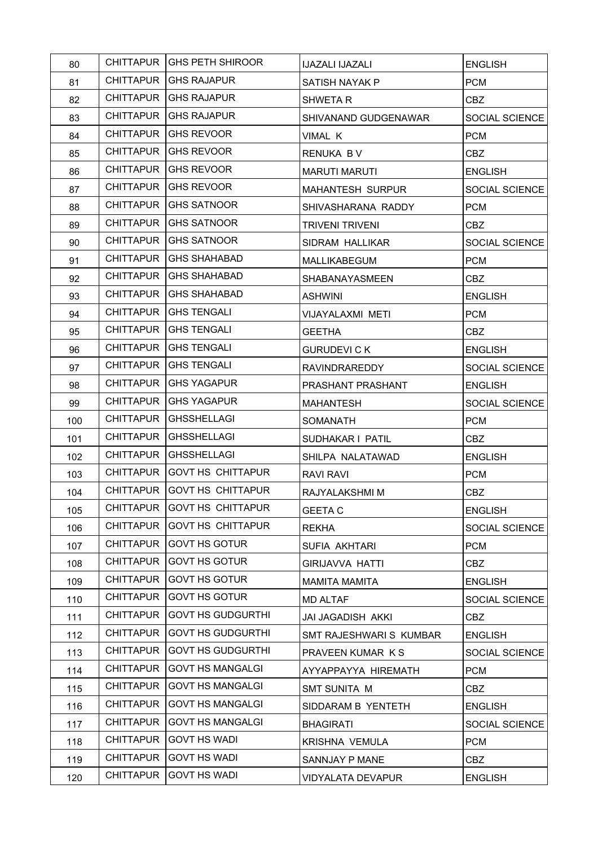| 80  |                  | <b>CHITTAPUR IGHS PETH SHIROOR</b> | <b>IJAZALI IJAZALI</b>   | <b>ENGLISH</b> |
|-----|------------------|------------------------------------|--------------------------|----------------|
| 81  |                  | CHITTAPUR   GHS RAJAPUR            | SATISH NAYAK P           | <b>PCM</b>     |
| 82  |                  | CHITTAPUR GHS RAJAPUR              | <b>SHWETAR</b>           | <b>CBZ</b>     |
| 83  | CHITTAPUR        | IGHS RAJAPUR                       | SHIVANAND GUDGENAWAR     | SOCIAL SCIENCE |
| 84  |                  | CHITTAPUR   GHS REVOOR             | VIMAL K                  | <b>PCM</b>     |
| 85  | CHITTAPUR        | GHS REVOOR                         | RENUKA BV                | <b>CBZ</b>     |
| 86  |                  | CHITTAPUR   GHS REVOOR             | <b>MARUTI MARUTI</b>     | <b>ENGLISH</b> |
| 87  | CHITTAPUR        | GHS REVOOR                         | <b>MAHANTESH SURPUR</b>  | SOCIAL SCIENCE |
| 88  |                  | CHITTAPUR   GHS SATNOOR            | SHIVASHARANA RADDY       | <b>PCM</b>     |
| 89  | <b>CHITTAPUR</b> | IGHS SATNOOR                       | <b>TRIVENI TRIVENI</b>   | CBZ            |
| 90  |                  | CHITTAPUR   GHS SATNOOR            | SIDRAM HALLIKAR          | SOCIAL SCIENCE |
| 91  | <b>CHITTAPUR</b> | IGHS SHAHABAD                      | <b>MALLIKABEGUM</b>      | <b>PCM</b>     |
| 92  |                  | CHITTAPUR   GHS SHAHABAD           | <b>SHABANAYASMEEN</b>    | CBZ            |
| 93  |                  | CHITTAPUR   GHS SHAHABAD           | <b>ASHWINI</b>           | <b>ENGLISH</b> |
| 94  |                  | CHITTAPUR   GHS TENGALI            | VIJAYALAXMI METI         | <b>PCM</b>     |
| 95  | <b>CHITTAPUR</b> | GHS TENGALI                        | <b>GEETHA</b>            | CBZ            |
| 96  |                  | CHITTAPUR   GHS TENGALI            | <b>GURUDEVI C K</b>      | <b>ENGLISH</b> |
| 97  | CHITTAPUR        | GHS TENGALI                        | <b>RAVINDRAREDDY</b>     | SOCIAL SCIENCE |
| 98  |                  | CHITTAPUR GHS YAGAPUR              | PRASHANT PRASHANT        | <b>ENGLISH</b> |
| 99  | <b>CHITTAPUR</b> | GHS YAGAPUR                        | <b>MAHANTESH</b>         | SOCIAL SCIENCE |
| 100 | CHITTAPUR        | GHSSHELLAGI                        | SOMANATH                 | <b>PCM</b>     |
| 101 | <b>CHITTAPUR</b> | <b>GHSSHELLAGI</b>                 | SUDHAKAR I PATIL         | <b>CBZ</b>     |
| 102 | <b>CHITTAPUR</b> | GHSSHELLAGI                        | SHILPA NALATAWAD         | <b>ENGLISH</b> |
| 103 | <b>CHITTAPUR</b> | GOVT HS CHITTAPUR                  | RAVI RAVI                | <b>PCM</b>     |
| 104 | <b>CHITTAPUR</b> | GOVT HS CHITTAPUR                  | RAJYALAKSHMI M           | <b>CBZ</b>     |
| 105 |                  | CHITTAPUR GOVT HS CHITTAPUR        | <b>GEETA C</b>           | <b>ENGLISH</b> |
| 106 | <b>CHITTAPUR</b> | <b>GOVT HS CHITTAPUR</b>           | <b>REKHA</b>             | SOCIAL SCIENCE |
| 107 | <b>CHITTAPUR</b> | <b>GOVT HS GOTUR</b>               | SUFIA AKHTARI            | <b>PCM</b>     |
| 108 | <b>CHITTAPUR</b> | GOVT HS GOTUR                      | <b>GIRIJAVVA HATTI</b>   | <b>CBZ</b>     |
| 109 | <b>CHITTAPUR</b> | GOVT HS GOTUR                      | <b>MAMITA MAMITA</b>     | <b>ENGLISH</b> |
| 110 | <b>CHITTAPUR</b> | <b>GOVT HS GOTUR</b>               | <b>MD ALTAF</b>          | SOCIAL SCIENCE |
| 111 | <b>CHITTAPUR</b> | <b>GOVT HS GUDGURTHI</b>           | JAI JAGADISH AKKI        | <b>CBZ</b>     |
| 112 | <b>CHITTAPUR</b> | <b>GOVT HS GUDGURTHI</b>           | SMT RAJESHWARI S KUMBAR  | <b>ENGLISH</b> |
| 113 | <b>CHITTAPUR</b> | <b>GOVT HS GUDGURTHI</b>           | PRAVEEN KUMAR KS         | SOCIAL SCIENCE |
| 114 | <b>CHITTAPUR</b> | <b>GOVT HS MANGALGI</b>            | AYYAPPAYYA HIREMATH      | <b>PCM</b>     |
| 115 | <b>CHITTAPUR</b> | <b>GOVT HS MANGALGI</b>            | SMT SUNITA M             | <b>CBZ</b>     |
| 116 | <b>CHITTAPUR</b> | <b>GOVT HS MANGALGI</b>            | SIDDARAM B YENTETH       | <b>ENGLISH</b> |
| 117 | <b>CHITTAPUR</b> | <b>GOVT HS MANGALGI</b>            | <b>BHAGIRATI</b>         | SOCIAL SCIENCE |
| 118 | <b>CHITTAPUR</b> | <b>GOVT HS WADI</b>                | KRISHNA VEMULA           | <b>PCM</b>     |
| 119 | <b>CHITTAPUR</b> | <b>GOVT HS WADI</b>                | SANNJAY P MANE           | CBZ            |
| 120 | <b>CHITTAPUR</b> | GOVT HS WADI                       | <b>VIDYALATA DEVAPUR</b> | <b>ENGLISH</b> |